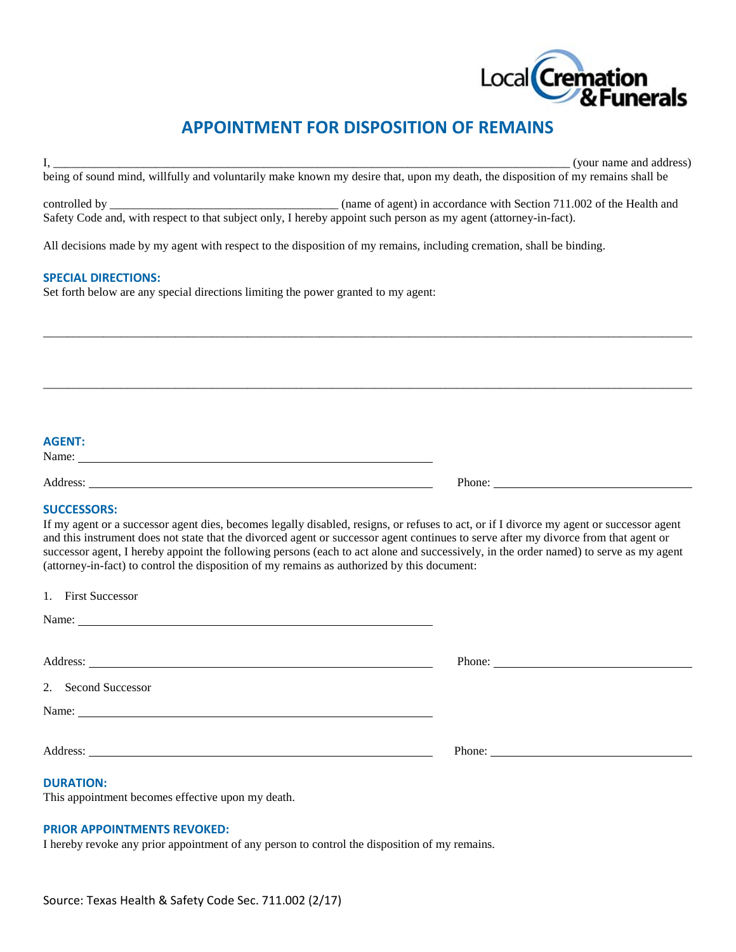

# **APPOINTMENT FOR DISPOSITION OF REMAINS**

|                                                                                                                                 | (vour name and address) |
|---------------------------------------------------------------------------------------------------------------------------------|-------------------------|
| being of sound mind, willfully and voluntarily make known my desire that, upon my death, the disposition of my remains shall be |                         |
|                                                                                                                                 |                         |

controlled by \_\_\_\_\_\_\_\_\_\_\_\_\_\_\_\_\_\_\_\_\_\_\_\_\_\_\_\_\_\_\_\_\_\_\_\_\_\_ (name of agent) in accordance with Section 711.002 of the Health and Safety Code and, with respect to that subject only, I hereby appoint such person as my agent (attorney-in-fact).

\_\_\_\_\_\_\_\_\_\_\_\_\_\_\_\_\_\_\_\_\_\_\_\_\_\_\_\_\_\_\_\_\_\_\_\_\_\_\_\_\_\_\_\_\_\_\_\_\_\_\_\_\_\_\_\_\_\_\_\_\_\_\_\_\_\_\_\_\_\_\_\_\_\_\_\_\_\_\_\_\_\_\_\_\_\_\_\_\_\_\_\_\_\_\_\_\_\_\_\_\_\_\_\_\_\_\_\_

\_\_\_\_\_\_\_\_\_\_\_\_\_\_\_\_\_\_\_\_\_\_\_\_\_\_\_\_\_\_\_\_\_\_\_\_\_\_\_\_\_\_\_\_\_\_\_\_\_\_\_\_\_\_\_\_\_\_\_\_\_\_\_\_\_\_\_\_\_\_\_\_\_\_\_\_\_\_\_\_\_\_\_\_\_\_\_\_\_\_\_\_\_\_\_\_\_\_\_\_\_\_\_\_\_\_\_\_

All decisions made by my agent with respect to the disposition of my remains, including cremation, shall be binding.

# **SPECIAL DIRECTIONS:**

Set forth below are any special directions limiting the power granted to my agent:

# **AGENT:**

Name:

Address: Phone:

# **SUCCESSORS:**

1. First Successor

If my agent or a successor agent dies, becomes legally disabled, resigns, or refuses to act, or if I divorce my agent or successor agent and this instrument does not state that the divorced agent or successor agent continues to serve after my divorce from that agent or successor agent, I hereby appoint the following persons (each to act alone and successively, in the order named) to serve as my agent (attorney-in-fact) to control the disposition of my remains as authorized by this document:

| Phone: |
|--------|
|        |
|        |
|        |
|        |

#### **DURATION:**

This appointment becomes effective upon my death.

## **PRIOR APPOINTMENTS REVOKED:**

I hereby revoke any prior appointment of any person to control the disposition of my remains.